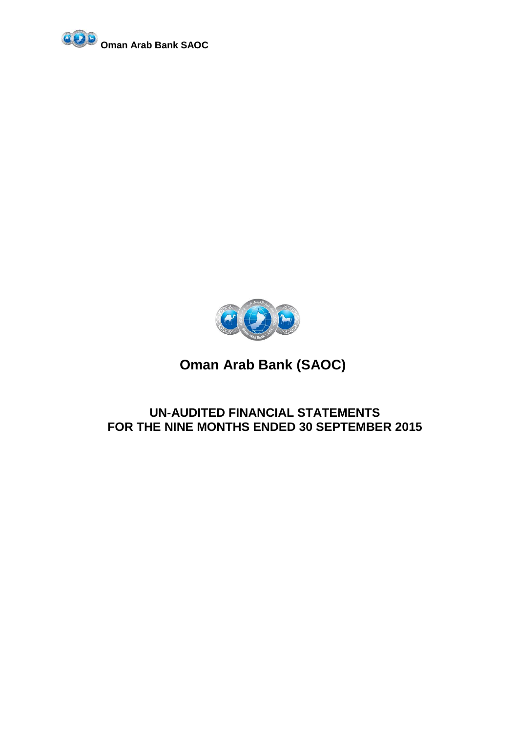



# **UN-AUDITED FINANCIAL STATEMENTS FOR THE NINE MONTHS ENDED 30 SEPTEMBER 2015**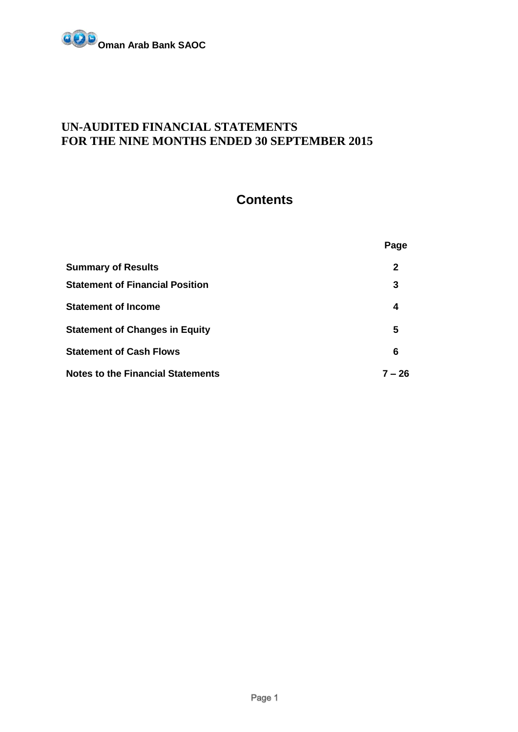

# **Contents**

|                                          | Page         |
|------------------------------------------|--------------|
| <b>Summary of Results</b>                | $\mathbf{2}$ |
| <b>Statement of Financial Position</b>   | 3            |
| <b>Statement of Income</b>               | 4            |
| <b>Statement of Changes in Equity</b>    | 5            |
| <b>Statement of Cash Flows</b>           | 6            |
| <b>Notes to the Financial Statements</b> | 7 – 26       |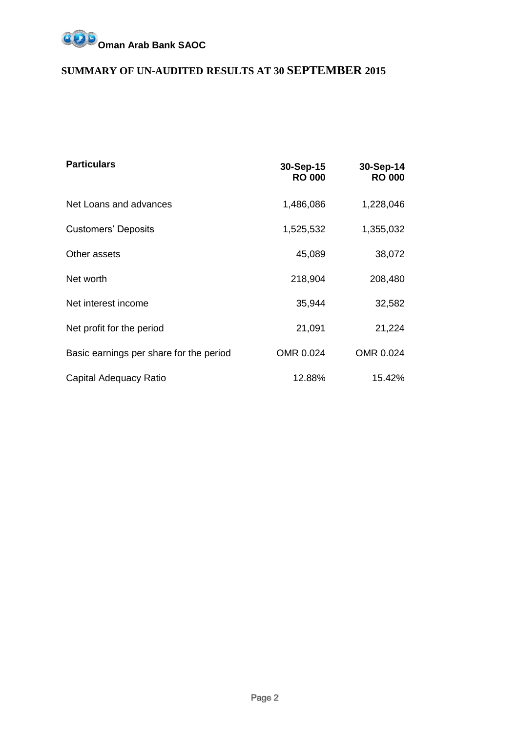

# **SUMMARY OF UN-AUDITED RESULTS AT 30 SEPTEMBER 2015**

| <b>Particulars</b>                      | 30-Sep-15<br><b>RO 000</b> | 30-Sep-14<br><b>RO 000</b> |
|-----------------------------------------|----------------------------|----------------------------|
| Net Loans and advances                  | 1,486,086                  | 1,228,046                  |
| <b>Customers' Deposits</b>              | 1,525,532                  | 1,355,032                  |
| Other assets                            | 45,089                     | 38,072                     |
| Net worth                               | 218,904                    | 208,480                    |
| Net interest income                     | 35,944                     | 32,582                     |
| Net profit for the period               | 21,091                     | 21,224                     |
| Basic earnings per share for the period | OMR 0.024                  | OMR 0.024                  |
| Capital Adequacy Ratio                  | 12.88%                     | 15.42%                     |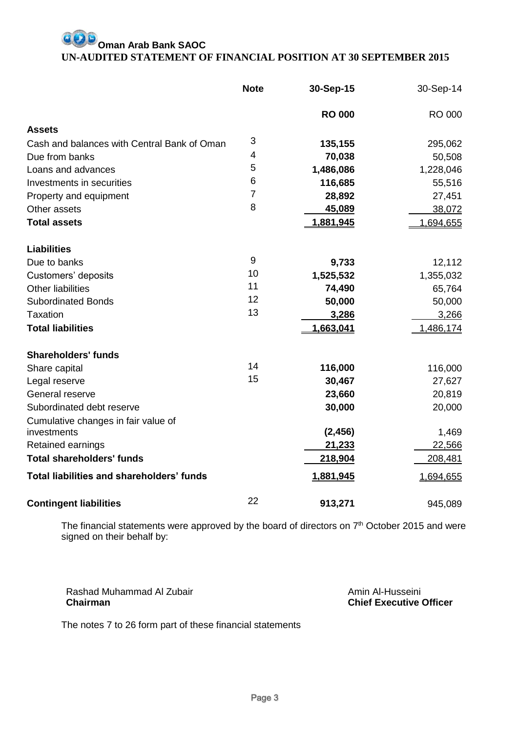# **Oman Arab Bank SAOC UN-AUDITED STATEMENT OF FINANCIAL POSITION AT 30 SEPTEMBER 2015**

|                                             | <b>Note</b>    | 30-Sep-15     | 30-Sep-14 |
|---------------------------------------------|----------------|---------------|-----------|
|                                             |                | <b>RO 000</b> | RO 000    |
| <b>Assets</b>                               |                |               |           |
| Cash and balances with Central Bank of Oman | 3              | 135,155       | 295,062   |
| Due from banks                              | 4              | 70,038        | 50,508    |
| Loans and advances                          | 5              | 1,486,086     | 1,228,046 |
| Investments in securities                   | 6              | 116,685       | 55,516    |
| Property and equipment                      | $\overline{7}$ | 28,892        | 27,451    |
| Other assets                                | 8              | 45,089        | 38,072    |
| <b>Total assets</b>                         |                | 1,881,945     | 1,694,655 |
| <b>Liabilities</b>                          |                |               |           |
| Due to banks                                | 9              | 9,733         | 12,112    |
| Customers' deposits                         | 10             | 1,525,532     | 1,355,032 |
| <b>Other liabilities</b>                    | 11             | 74,490        | 65,764    |
| <b>Subordinated Bonds</b>                   | 12             | 50,000        | 50,000    |
| <b>Taxation</b>                             | 13             | 3,286         | 3,266     |
| <b>Total liabilities</b>                    |                | 1,663,041     | 1,486,174 |
| <b>Shareholders' funds</b>                  |                |               |           |
| Share capital                               | 14             | 116,000       | 116,000   |
| Legal reserve                               | 15             | 30,467        | 27,627    |
| General reserve                             |                | 23,660        | 20,819    |
| Subordinated debt reserve                   |                | 30,000        | 20,000    |
| Cumulative changes in fair value of         |                |               |           |
| investments                                 |                | (2, 456)      | 1,469     |
| Retained earnings                           |                | 21,233        | 22,566    |
| <b>Total shareholders' funds</b>            |                | 218,904       | 208,481   |
| Total liabilities and shareholders' funds   |                | 1,881,945     | 1,694,655 |
| <b>Contingent liabilities</b>               | 22             | 913,271       | 945,089   |

The financial statements were approved by the board of directors on  $7<sup>th</sup>$  October 2015 and were signed on their behalf by:

Rashad Muhammad Al Zubair **Chairman**

Amin Al-Husseini **Chief Executive Officer**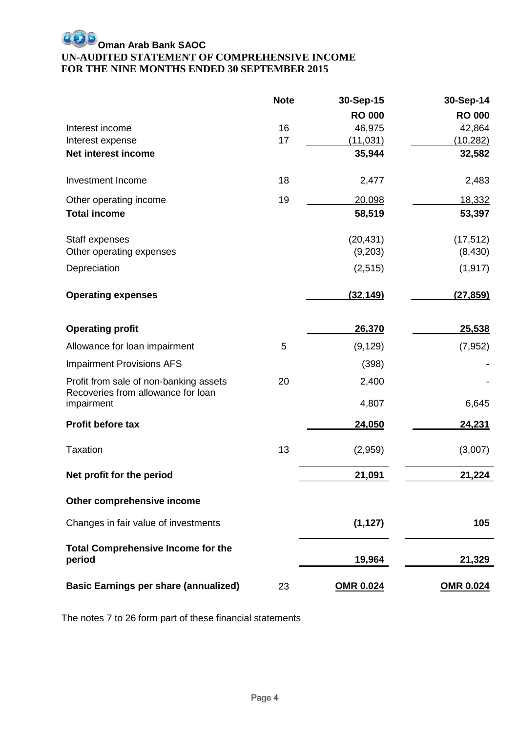# **Oman Arab Bank SAOC UN-AUDITED STATEMENT OF COMPREHENSIVE INCOME FOR THE NINE MONTHS ENDED 30 SEPTEMBER 2015**

|                                                                              | <b>Note</b> | 30-Sep-15        | 30-Sep-14        |
|------------------------------------------------------------------------------|-------------|------------------|------------------|
|                                                                              |             | <b>RO 000</b>    | <b>RO 000</b>    |
| Interest income                                                              | 16          | 46,975           | 42,864           |
| Interest expense                                                             | 17          | <u>(11,031)</u>  | (10, 282)        |
| Net interest income                                                          |             | 35,944           | 32,582           |
| Investment Income                                                            | 18          | 2,477            | 2,483            |
| Other operating income                                                       | 19          | 20,098           | 18,332           |
| <b>Total income</b>                                                          |             | 58,519           | 53,397           |
| Staff expenses                                                               |             | (20, 431)        | (17, 512)        |
| Other operating expenses                                                     |             | (9,203)          | (8, 430)         |
| Depreciation                                                                 |             | (2,515)          | (1, 917)         |
| <b>Operating expenses</b>                                                    |             | (32, 149)        | (27, 859)        |
| <b>Operating profit</b>                                                      |             | 26,370           | 25,538           |
| Allowance for loan impairment                                                | 5           | (9, 129)         | (7, 952)         |
| <b>Impairment Provisions AFS</b>                                             |             | (398)            |                  |
| Profit from sale of non-banking assets<br>Recoveries from allowance for loan | 20          | 2,400            |                  |
| impairment                                                                   |             | 4,807            | 6,645            |
| Profit before tax                                                            |             | 24,050           | 24,231           |
| <b>Taxation</b>                                                              | 13          | (2,959)          | (3,007)          |
| Net profit for the period                                                    |             | 21,091           | 21,224           |
| Other comprehensive income                                                   |             |                  |                  |
| Changes in fair value of investments                                         |             | (1, 127)         | 105              |
| <b>Total Comprehensive Income for the</b><br>period                          |             | 19,964           | 21,329           |
|                                                                              |             |                  |                  |
| <b>Basic Earnings per share (annualized)</b>                                 | 23          | <b>OMR 0.024</b> | <b>OMR 0.024</b> |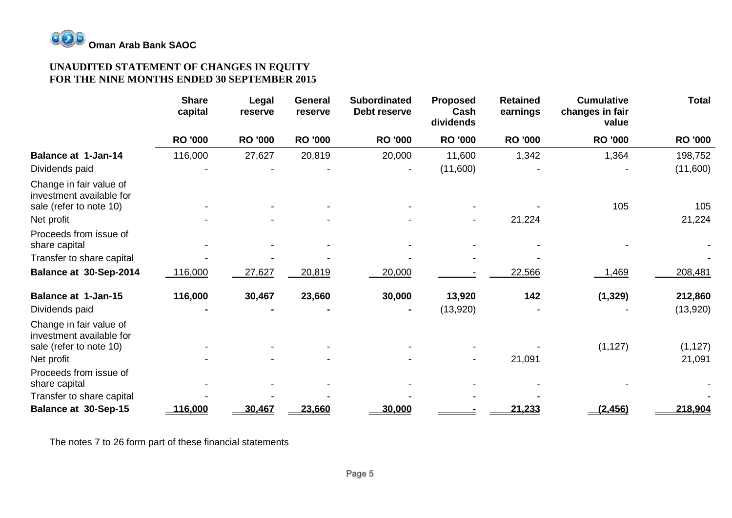

# **UNAUDITED STATEMENT OF CHANGES IN EQUITY FOR THE NINE MONTHS ENDED 30 SEPTEMBER 2015**

|                                                                                | <b>Share</b><br>capital | Legal<br>reserve | <b>General</b><br>reserve | <b>Subordinated</b><br>Debt reserve | <b>Proposed</b><br>Cash<br>dividends | <b>Retained</b><br>earnings | <b>Cumulative</b><br>changes in fair<br>value | <b>Total</b>        |
|--------------------------------------------------------------------------------|-------------------------|------------------|---------------------------|-------------------------------------|--------------------------------------|-----------------------------|-----------------------------------------------|---------------------|
|                                                                                | <b>RO '000</b>          | <b>RO '000</b>   | <b>RO '000</b>            | <b>RO '000</b>                      | <b>RO '000</b>                       | <b>RO '000</b>              | <b>RO '000</b>                                | <b>RO '000</b>      |
| <b>Balance at 1-Jan-14</b>                                                     | 116,000                 | 27,627           | 20,819                    | 20,000                              | 11,600                               | 1,342                       | 1,364                                         | 198,752             |
| Dividends paid                                                                 |                         |                  |                           |                                     | (11,600)                             |                             |                                               | (11,600)            |
| Change in fair value of<br>investment available for<br>sale (refer to note 10) |                         |                  |                           |                                     |                                      |                             | 105                                           | 105                 |
| Net profit                                                                     |                         |                  |                           |                                     |                                      | 21,224                      |                                               | 21,224              |
| Proceeds from issue of<br>share capital                                        |                         |                  |                           |                                     |                                      |                             |                                               |                     |
| Transfer to share capital                                                      |                         |                  |                           |                                     |                                      |                             |                                               |                     |
| Balance at 30-Sep-2014                                                         | 116,000                 | 27,627           | 20,819                    | 20,000                              |                                      | 22,566                      | .469                                          | 208,481             |
| <b>Balance at 1-Jan-15</b><br>Dividends paid                                   | 116,000                 | 30,467           | 23,660                    | 30,000                              | 13,920<br>(13,920)                   | 142                         | (1, 329)                                      | 212,860<br>(13,920) |
| Change in fair value of<br>investment available for<br>sale (refer to note 10) |                         |                  |                           |                                     |                                      |                             | (1, 127)                                      | (1, 127)            |
| Net profit                                                                     |                         |                  |                           |                                     |                                      | 21,091                      |                                               | 21,091              |
| Proceeds from issue of<br>share capital                                        |                         |                  |                           |                                     |                                      |                             |                                               |                     |
| Transfer to share capital                                                      |                         |                  |                           |                                     |                                      |                             |                                               |                     |
| Balance at 30-Sep-15                                                           | 116,000                 | 30,467           | 23,660                    | 30,000                              |                                      | 21,233                      | (2, 456)                                      | 218,904             |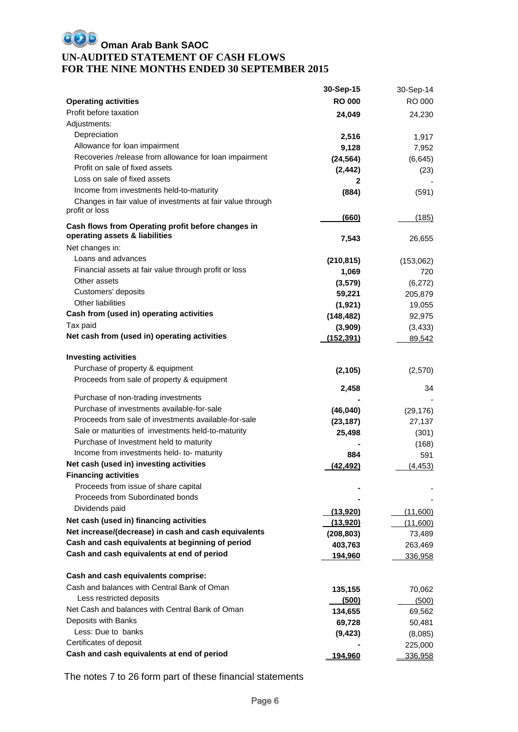# **OD** Oman Arab Bank SAOC **UN-AUDITED STATEMENT OF CASH FLOWS FOR THE NINE MONTHS ENDED 30 SEPTEMBER 2015**

|                                                            | 30-Sep-15          | 30-Sep-14 |
|------------------------------------------------------------|--------------------|-----------|
| <b>Operating activities</b>                                | <b>RO 000</b>      | RO 000    |
| Profit before taxation                                     | 24,049             | 24,230    |
| Adjustments:                                               |                    |           |
| Depreciation                                               | 2,516              | 1,917     |
| Allowance for loan impairment                              | 9,128              | 7,952     |
| Recoveries /release from allowance for loan impairment     | (24, 564)          | (6,645)   |
| Profit on sale of fixed assets                             | (2, 442)           | (23)      |
| Loss on sale of fixed assets                               | 2                  |           |
| Income from investments held-to-maturity                   | (884)              | (591)     |
| Changes in fair value of investments at fair value through |                    |           |
| profit or loss                                             |                    |           |
| Cash flows from Operating profit before changes in         | (660)              | (185)     |
| operating assets & liabilities                             | 7,543              |           |
| Net changes in:                                            |                    | 26,655    |
| Loans and advances                                         | (210, 815)         |           |
| Financial assets at fair value through profit or loss      |                    | (153,062) |
| Other assets                                               | 1,069              | 720       |
| Customers' deposits                                        | (3, 579)<br>59,221 | (6,272)   |
| <b>Other liabilities</b>                                   |                    | 205,879   |
| Cash from (used in) operating activities                   | (1, 921)           | 19,055    |
| Tax paid                                                   | (148, 482)         | 92,975    |
| Net cash from (used in) operating activities               | (3,909)            | (3, 433)  |
|                                                            | (152, 391)         | 89,542    |
| <b>Investing activities</b>                                |                    |           |
| Purchase of property & equipment                           | (2, 105)           | (2,570)   |
| Proceeds from sale of property & equipment                 |                    |           |
|                                                            | 2,458              | 34        |
| Purchase of non-trading investments                        |                    |           |
| Purchase of investments available-for-sale                 | (46, 040)          | (29, 176) |
| Proceeds from sale of investments available-for-sale       | (23, 187)          | 27,137    |
| Sale or maturities of investments held-to-maturity         | 25,498             | (301)     |
| Purchase of Investment held to maturity                    |                    | (168)     |
| Income from investments held- to- maturity                 | 884                | 591       |
| Net cash (used in) investing activities                    | (42, 492)          | (4, 453)  |
| <b>Financing activities</b>                                |                    |           |
| Proceeds from issue of share capital                       |                    |           |
| Proceeds from Subordinated bonds                           |                    |           |
| Dividends paid                                             | (13,920)           | (11,600)  |
| Net cash (used in) financing activities                    | (13,920)           | (11,600)  |
| Net increase/(decrease) in cash and cash equivalents       | (208, 803)         | 73,489    |
| Cash and cash equivalents at beginning of period           | 403,763            | 263,469   |
| Cash and cash equivalents at end of period                 | 194,960            | 336,958   |
|                                                            |                    |           |
| Cash and cash equivalents comprise:                        |                    |           |
| Cash and balances with Central Bank of Oman                | 135,155            | 70,062    |
| Less restricted deposits                                   | (500)              | (500)     |
| Net Cash and balances with Central Bank of Oman            | 134,655            | 69,562    |
| Deposits with Banks                                        | 69,728             | 50,481    |
| Less: Due to banks                                         | (9, 423)           | (8,085)   |
| Certificates of deposit                                    |                    | 225,000   |
| Cash and cash equivalents at end of period                 | <u> 194,960</u>    | 336,958   |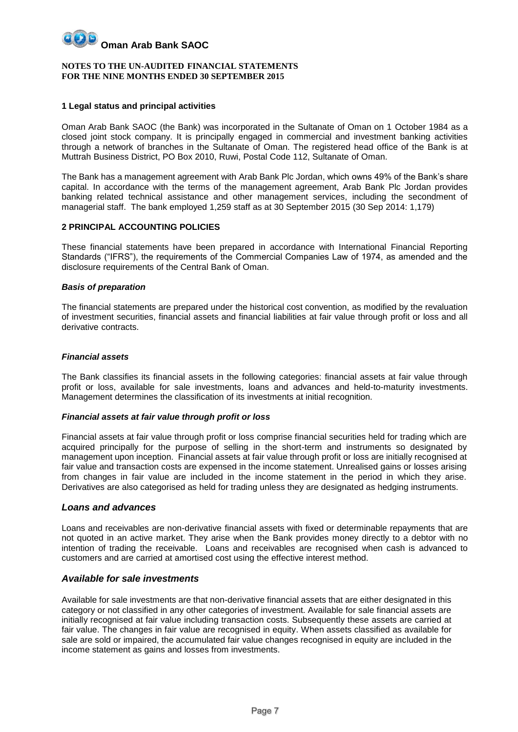#### **NOTES TO THE UN-AUDITED FINANCIAL STATEMENTS FOR THE NINE MONTHS ENDED 30 SEPTEMBER 2015**

#### **1 Legal status and principal activities**

Oman Arab Bank SAOC (the Bank) was incorporated in the Sultanate of Oman on 1 October 1984 as a closed joint stock company. It is principally engaged in commercial and investment banking activities through a network of branches in the Sultanate of Oman. The registered head office of the Bank is at Muttrah Business District, PO Box 2010, Ruwi, Postal Code 112, Sultanate of Oman.

The Bank has a management agreement with Arab Bank Plc Jordan, which owns 49% of the Bank's share capital. In accordance with the terms of the management agreement, Arab Bank Plc Jordan provides banking related technical assistance and other management services, including the secondment of managerial staff. The bank employed 1,259 staff as at 30 September 2015 (30 Sep 2014: 1,179)

#### **2 PRINCIPAL ACCOUNTING POLICIES**

These financial statements have been prepared in accordance with International Financial Reporting Standards ("IFRS"), the requirements of the Commercial Companies Law of 1974, as amended and the disclosure requirements of the Central Bank of Oman.

#### *Basis of preparation*

The financial statements are prepared under the historical cost convention, as modified by the revaluation of investment securities, financial assets and financial liabilities at fair value through profit or loss and all derivative contracts.

#### *Financial assets*

The Bank classifies its financial assets in the following categories: financial assets at fair value through profit or loss, available for sale investments, loans and advances and held-to-maturity investments. Management determines the classification of its investments at initial recognition.

#### *Financial assets at fair value through profit or loss*

Financial assets at fair value through profit or loss comprise financial securities held for trading which are acquired principally for the purpose of selling in the short-term and instruments so designated by management upon inception. Financial assets at fair value through profit or loss are initially recognised at fair value and transaction costs are expensed in the income statement. Unrealised gains or losses arising from changes in fair value are included in the income statement in the period in which they arise. Derivatives are also categorised as held for trading unless they are designated as hedging instruments.

#### *Loans and advances*

Loans and receivables are non-derivative financial assets with fixed or determinable repayments that are not quoted in an active market. They arise when the Bank provides money directly to a debtor with no intention of trading the receivable. Loans and receivables are recognised when cash is advanced to customers and are carried at amortised cost using the effective interest method.

### *Available for sale investments*

Available for sale investments are that non-derivative financial assets that are either designated in this category or not classified in any other categories of investment. Available for sale financial assets are initially recognised at fair value including transaction costs. Subsequently these assets are carried at fair value. The changes in fair value are recognised in equity. When assets classified as available for sale are sold or impaired, the accumulated fair value changes recognised in equity are included in the income statement as gains and losses from investments.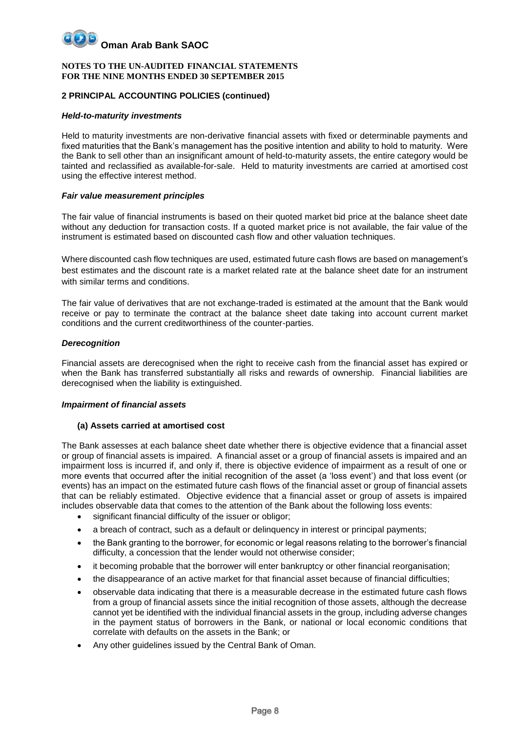#### **NOTES TO THE UN-AUDITED FINANCIAL STATEMENTS FOR THE NINE MONTHS ENDED 30 SEPTEMBER 2015**

### **2 PRINCIPAL ACCOUNTING POLICIES (continued)**

#### *Held-to-maturity investments*

Held to maturity investments are non-derivative financial assets with fixed or determinable payments and fixed maturities that the Bank's management has the positive intention and ability to hold to maturity. Were the Bank to sell other than an insignificant amount of held-to-maturity assets, the entire category would be tainted and reclassified as available-for-sale. Held to maturity investments are carried at amortised cost using the effective interest method.

#### *Fair value measurement principles*

The fair value of financial instruments is based on their quoted market bid price at the balance sheet date without any deduction for transaction costs. If a quoted market price is not available, the fair value of the instrument is estimated based on discounted cash flow and other valuation techniques.

Where discounted cash flow techniques are used, estimated future cash flows are based on management's best estimates and the discount rate is a market related rate at the balance sheet date for an instrument with similar terms and conditions.

The fair value of derivatives that are not exchange-traded is estimated at the amount that the Bank would receive or pay to terminate the contract at the balance sheet date taking into account current market conditions and the current creditworthiness of the counter-parties.

#### *Derecognition*

Financial assets are derecognised when the right to receive cash from the financial asset has expired or when the Bank has transferred substantially all risks and rewards of ownership. Financial liabilities are derecognised when the liability is extinguished.

#### *Impairment of financial assets*

#### **(a) Assets carried at amortised cost**

The Bank assesses at each balance sheet date whether there is objective evidence that a financial asset or group of financial assets is impaired. A financial asset or a group of financial assets is impaired and an impairment loss is incurred if, and only if, there is objective evidence of impairment as a result of one or more events that occurred after the initial recognition of the asset (a 'loss event') and that loss event (or events) has an impact on the estimated future cash flows of the financial asset or group of financial assets that can be reliably estimated. Objective evidence that a financial asset or group of assets is impaired includes observable data that comes to the attention of the Bank about the following loss events:

- significant financial difficulty of the issuer or obligor;
- a breach of contract, such as a default or delinquency in interest or principal payments;
- the Bank granting to the borrower, for economic or legal reasons relating to the borrower's financial difficulty, a concession that the lender would not otherwise consider;
- it becoming probable that the borrower will enter bankruptcy or other financial reorganisation;
- the disappearance of an active market for that financial asset because of financial difficulties;
- observable data indicating that there is a measurable decrease in the estimated future cash flows from a group of financial assets since the initial recognition of those assets, although the decrease cannot yet be identified with the individual financial assets in the group, including adverse changes in the payment status of borrowers in the Bank, or national or local economic conditions that correlate with defaults on the assets in the Bank; or
- Any other guidelines issued by the Central Bank of Oman.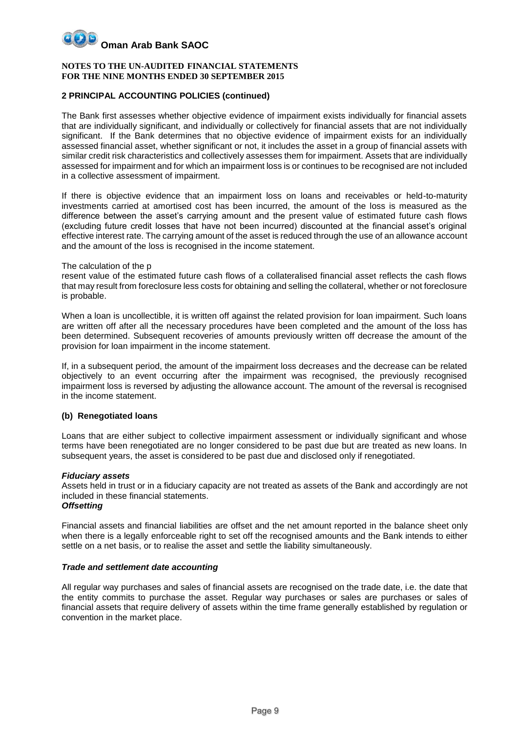#### **NOTES TO THE UN-AUDITED FINANCIAL STATEMENTS FOR THE NINE MONTHS ENDED 30 SEPTEMBER 2015**

### **2 PRINCIPAL ACCOUNTING POLICIES (continued)**

The Bank first assesses whether objective evidence of impairment exists individually for financial assets that are individually significant, and individually or collectively for financial assets that are not individually significant. If the Bank determines that no objective evidence of impairment exists for an individually assessed financial asset, whether significant or not, it includes the asset in a group of financial assets with similar credit risk characteristics and collectively assesses them for impairment. Assets that are individually assessed for impairment and for which an impairment loss is or continues to be recognised are not included in a collective assessment of impairment.

If there is objective evidence that an impairment loss on loans and receivables or held-to-maturity investments carried at amortised cost has been incurred, the amount of the loss is measured as the difference between the asset's carrying amount and the present value of estimated future cash flows (excluding future credit losses that have not been incurred) discounted at the financial asset's original effective interest rate. The carrying amount of the asset is reduced through the use of an allowance account and the amount of the loss is recognised in the income statement.

#### The calculation of the p

resent value of the estimated future cash flows of a collateralised financial asset reflects the cash flows that may result from foreclosure less costs for obtaining and selling the collateral, whether or not foreclosure is probable.

When a loan is uncollectible, it is written off against the related provision for loan impairment. Such loans are written off after all the necessary procedures have been completed and the amount of the loss has been determined. Subsequent recoveries of amounts previously written off decrease the amount of the provision for loan impairment in the income statement.

If, in a subsequent period, the amount of the impairment loss decreases and the decrease can be related objectively to an event occurring after the impairment was recognised, the previously recognised impairment loss is reversed by adjusting the allowance account. The amount of the reversal is recognised in the income statement.

### **(b) Renegotiated loans**

Loans that are either subject to collective impairment assessment or individually significant and whose terms have been renegotiated are no longer considered to be past due but are treated as new loans. In subsequent years, the asset is considered to be past due and disclosed only if renegotiated.

#### *Fiduciary assets*

Assets held in trust or in a fiduciary capacity are not treated as assets of the Bank and accordingly are not included in these financial statements.

## *Offsetting*

Financial assets and financial liabilities are offset and the net amount reported in the balance sheet only when there is a legally enforceable right to set off the recognised amounts and the Bank intends to either settle on a net basis, or to realise the asset and settle the liability simultaneously.

#### *Trade and settlement date accounting*

All regular way purchases and sales of financial assets are recognised on the trade date, i.e. the date that the entity commits to purchase the asset. Regular way purchases or sales are purchases or sales of financial assets that require delivery of assets within the time frame generally established by regulation or convention in the market place.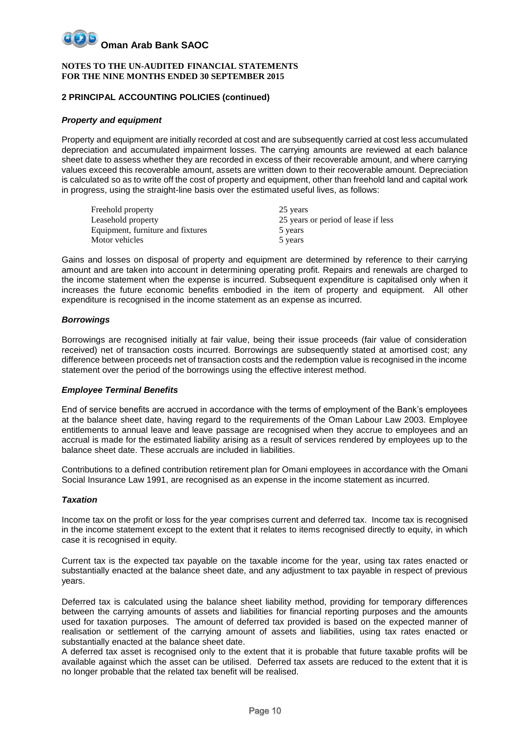#### **NOTES TO THE UN-AUDITED FINANCIAL STATEMENTS FOR THE NINE MONTHS ENDED 30 SEPTEMBER 2015**

### **2 PRINCIPAL ACCOUNTING POLICIES (continued)**

#### *Property and equipment*

Property and equipment are initially recorded at cost and are subsequently carried at cost less accumulated depreciation and accumulated impairment losses. The carrying amounts are reviewed at each balance sheet date to assess whether they are recorded in excess of their recoverable amount, and where carrying values exceed this recoverable amount, assets are written down to their recoverable amount. Depreciation is calculated so as to write off the cost of property and equipment, other than freehold land and capital work in progress, using the straight-line basis over the estimated useful lives, as follows:

| Freehold property                 | 25 years                            |
|-----------------------------------|-------------------------------------|
| Leasehold property                | 25 years or period of lease if less |
| Equipment, furniture and fixtures | 5 years                             |
| Motor vehicles                    | 5 years                             |

Gains and losses on disposal of property and equipment are determined by reference to their carrying amount and are taken into account in determining operating profit. Repairs and renewals are charged to the income statement when the expense is incurred. Subsequent expenditure is capitalised only when it increases the future economic benefits embodied in the item of property and equipment. All other expenditure is recognised in the income statement as an expense as incurred.

### *Borrowings*

Borrowings are recognised initially at fair value, being their issue proceeds (fair value of consideration received) net of transaction costs incurred. Borrowings are subsequently stated at amortised cost; any difference between proceeds net of transaction costs and the redemption value is recognised in the income statement over the period of the borrowings using the effective interest method.

#### *Employee Terminal Benefits*

End of service benefits are accrued in accordance with the terms of employment of the Bank's employees at the balance sheet date, having regard to the requirements of the Oman Labour Law 2003. Employee entitlements to annual leave and leave passage are recognised when they accrue to employees and an accrual is made for the estimated liability arising as a result of services rendered by employees up to the balance sheet date. These accruals are included in liabilities.

Contributions to a defined contribution retirement plan for Omani employees in accordance with the Omani Social Insurance Law 1991, are recognised as an expense in the income statement as incurred.

#### *Taxation*

Income tax on the profit or loss for the year comprises current and deferred tax. Income tax is recognised in the income statement except to the extent that it relates to items recognised directly to equity, in which case it is recognised in equity.

Current tax is the expected tax payable on the taxable income for the year, using tax rates enacted or substantially enacted at the balance sheet date, and any adjustment to tax payable in respect of previous years.

Deferred tax is calculated using the balance sheet liability method, providing for temporary differences between the carrying amounts of assets and liabilities for financial reporting purposes and the amounts used for taxation purposes. The amount of deferred tax provided is based on the expected manner of realisation or settlement of the carrying amount of assets and liabilities, using tax rates enacted or substantially enacted at the balance sheet date.

A deferred tax asset is recognised only to the extent that it is probable that future taxable profits will be available against which the asset can be utilised. Deferred tax assets are reduced to the extent that it is no longer probable that the related tax benefit will be realised.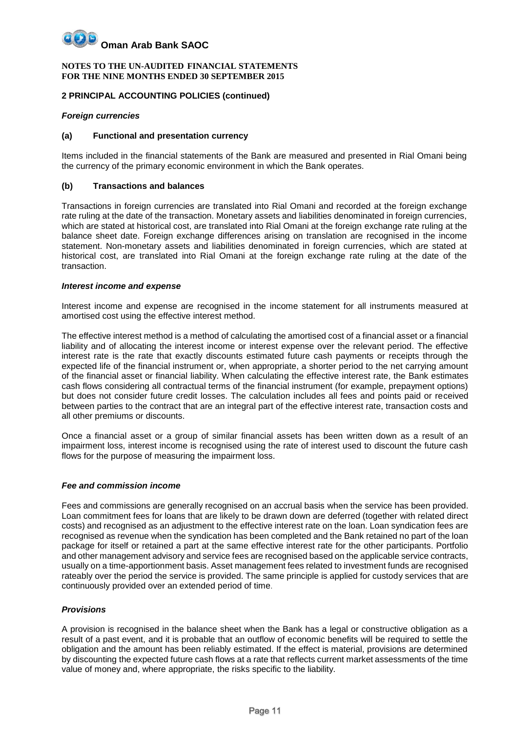#### **NOTES TO THE UN-AUDITED FINANCIAL STATEMENTS FOR THE NINE MONTHS ENDED 30 SEPTEMBER 2015**

### **2 PRINCIPAL ACCOUNTING POLICIES (continued)**

#### *Foreign currencies*

#### **(a) Functional and presentation currency**

Items included in the financial statements of the Bank are measured and presented in Rial Omani being the currency of the primary economic environment in which the Bank operates.

#### **(b) Transactions and balances**

Transactions in foreign currencies are translated into Rial Omani and recorded at the foreign exchange rate ruling at the date of the transaction. Monetary assets and liabilities denominated in foreign currencies, which are stated at historical cost, are translated into Rial Omani at the foreign exchange rate ruling at the balance sheet date. Foreign exchange differences arising on translation are recognised in the income statement. Non-monetary assets and liabilities denominated in foreign currencies, which are stated at historical cost, are translated into Rial Omani at the foreign exchange rate ruling at the date of the transaction.

### *Interest income and expense*

Interest income and expense are recognised in the income statement for all instruments measured at amortised cost using the effective interest method.

The effective interest method is a method of calculating the amortised cost of a financial asset or a financial liability and of allocating the interest income or interest expense over the relevant period. The effective interest rate is the rate that exactly discounts estimated future cash payments or receipts through the expected life of the financial instrument or, when appropriate, a shorter period to the net carrying amount of the financial asset or financial liability. When calculating the effective interest rate, the Bank estimates cash flows considering all contractual terms of the financial instrument (for example, prepayment options) but does not consider future credit losses. The calculation includes all fees and points paid or received between parties to the contract that are an integral part of the effective interest rate, transaction costs and all other premiums or discounts.

Once a financial asset or a group of similar financial assets has been written down as a result of an impairment loss, interest income is recognised using the rate of interest used to discount the future cash flows for the purpose of measuring the impairment loss.

### *Fee and commission income*

Fees and commissions are generally recognised on an accrual basis when the service has been provided. Loan commitment fees for loans that are likely to be drawn down are deferred (together with related direct costs) and recognised as an adjustment to the effective interest rate on the loan. Loan syndication fees are recognised as revenue when the syndication has been completed and the Bank retained no part of the loan package for itself or retained a part at the same effective interest rate for the other participants. Portfolio and other management advisory and service fees are recognised based on the applicable service contracts, usually on a time-apportionment basis. Asset management fees related to investment funds are recognised rateably over the period the service is provided. The same principle is applied for custody services that are continuously provided over an extended period of time.

### *Provisions*

A provision is recognised in the balance sheet when the Bank has a legal or constructive obligation as a result of a past event, and it is probable that an outflow of economic benefits will be required to settle the obligation and the amount has been reliably estimated. If the effect is material, provisions are determined by discounting the expected future cash flows at a rate that reflects current market assessments of the time value of money and, where appropriate, the risks specific to the liability.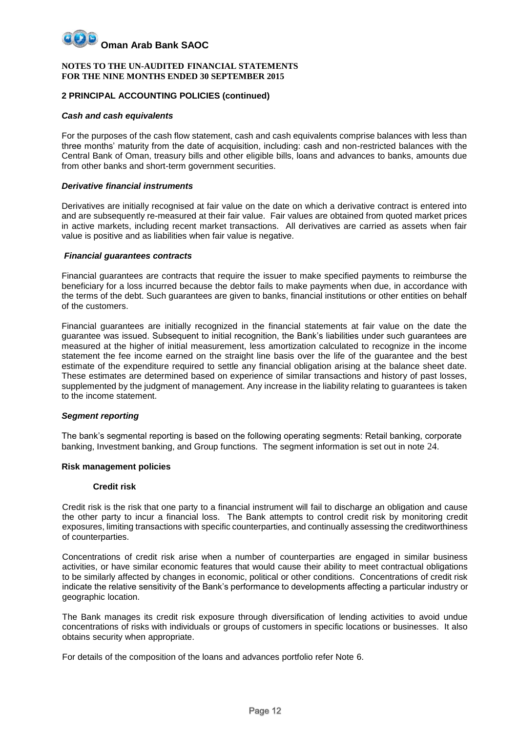#### **NOTES TO THE UN-AUDITED FINANCIAL STATEMENTS FOR THE NINE MONTHS ENDED 30 SEPTEMBER 2015**

### **2 PRINCIPAL ACCOUNTING POLICIES (continued)**

#### *Cash and cash equivalents*

For the purposes of the cash flow statement, cash and cash equivalents comprise balances with less than three months' maturity from the date of acquisition, including: cash and non-restricted balances with the Central Bank of Oman, treasury bills and other eligible bills, loans and advances to banks, amounts due from other banks and short-term government securities.

#### *Derivative financial instruments*

Derivatives are initially recognised at fair value on the date on which a derivative contract is entered into and are subsequently re-measured at their fair value. Fair values are obtained from quoted market prices in active markets, including recent market transactions. All derivatives are carried as assets when fair value is positive and as liabilities when fair value is negative.

#### *Financial guarantees contracts*

Financial guarantees are contracts that require the issuer to make specified payments to reimburse the beneficiary for a loss incurred because the debtor fails to make payments when due, in accordance with the terms of the debt. Such guarantees are given to banks, financial institutions or other entities on behalf of the customers.

Financial guarantees are initially recognized in the financial statements at fair value on the date the guarantee was issued. Subsequent to initial recognition, the Bank's liabilities under such guarantees are measured at the higher of initial measurement, less amortization calculated to recognize in the income statement the fee income earned on the straight line basis over the life of the guarantee and the best estimate of the expenditure required to settle any financial obligation arising at the balance sheet date. These estimates are determined based on experience of similar transactions and history of past losses, supplemented by the judgment of management. Any increase in the liability relating to guarantees is taken to the income statement.

#### *Segment reporting*

The bank's segmental reporting is based on the following operating segments: Retail banking, corporate banking, Investment banking, and Group functions. The segment information is set out in note 24.

#### **Risk management policies**

#### **Credit risk**

Credit risk is the risk that one party to a financial instrument will fail to discharge an obligation and cause the other party to incur a financial loss. The Bank attempts to control credit risk by monitoring credit exposures, limiting transactions with specific counterparties, and continually assessing the creditworthiness of counterparties.

Concentrations of credit risk arise when a number of counterparties are engaged in similar business activities, or have similar economic features that would cause their ability to meet contractual obligations to be similarly affected by changes in economic, political or other conditions. Concentrations of credit risk indicate the relative sensitivity of the Bank's performance to developments affecting a particular industry or geographic location.

The Bank manages its credit risk exposure through diversification of lending activities to avoid undue concentrations of risks with individuals or groups of customers in specific locations or businesses. It also obtains security when appropriate.

For details of the composition of the loans and advances portfolio refer Note 6.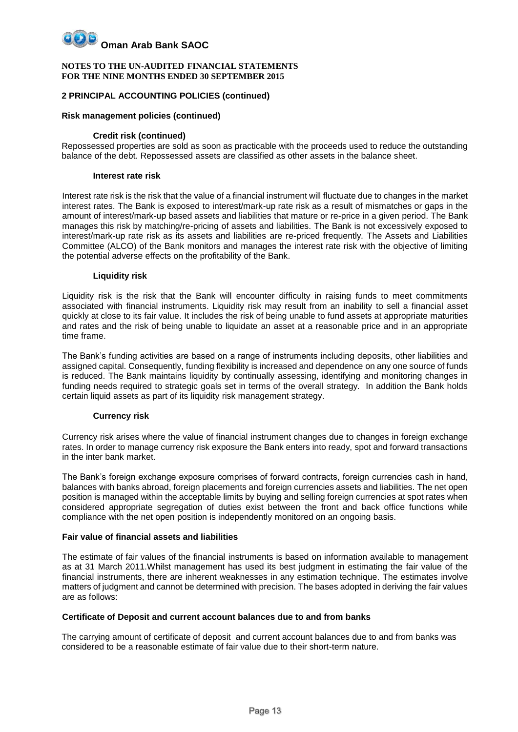#### **NOTES TO THE UN-AUDITED FINANCIAL STATEMENTS FOR THE NINE MONTHS ENDED 30 SEPTEMBER 2015**

### **2 PRINCIPAL ACCOUNTING POLICIES (continued)**

#### **Risk management policies (continued)**

#### **Credit risk (continued)**

Repossessed properties are sold as soon as practicable with the proceeds used to reduce the outstanding balance of the debt. Repossessed assets are classified as other assets in the balance sheet.

#### **Interest rate risk**

Interest rate risk is the risk that the value of a financial instrument will fluctuate due to changes in the market interest rates. The Bank is exposed to interest/mark-up rate risk as a result of mismatches or gaps in the amount of interest/mark-up based assets and liabilities that mature or re-price in a given period. The Bank manages this risk by matching/re-pricing of assets and liabilities. The Bank is not excessively exposed to interest/mark-up rate risk as its assets and liabilities are re-priced frequently. The Assets and Liabilities Committee (ALCO) of the Bank monitors and manages the interest rate risk with the objective of limiting the potential adverse effects on the profitability of the Bank.

#### **Liquidity risk**

Liquidity risk is the risk that the Bank will encounter difficulty in raising funds to meet commitments associated with financial instruments. Liquidity risk may result from an inability to sell a financial asset quickly at close to its fair value. It includes the risk of being unable to fund assets at appropriate maturities and rates and the risk of being unable to liquidate an asset at a reasonable price and in an appropriate time frame.

The Bank's funding activities are based on a range of instruments including deposits, other liabilities and assigned capital. Consequently, funding flexibility is increased and dependence on any one source of funds is reduced. The Bank maintains liquidity by continually assessing, identifying and monitoring changes in funding needs required to strategic goals set in terms of the overall strategy. In addition the Bank holds certain liquid assets as part of its liquidity risk management strategy.

#### **Currency risk**

Currency risk arises where the value of financial instrument changes due to changes in foreign exchange rates. In order to manage currency risk exposure the Bank enters into ready, spot and forward transactions in the inter bank market.

The Bank's foreign exchange exposure comprises of forward contracts, foreign currencies cash in hand, balances with banks abroad, foreign placements and foreign currencies assets and liabilities. The net open position is managed within the acceptable limits by buying and selling foreign currencies at spot rates when considered appropriate segregation of duties exist between the front and back office functions while compliance with the net open position is independently monitored on an ongoing basis.

#### **Fair value of financial assets and liabilities**

The estimate of fair values of the financial instruments is based on information available to management as at 31 March 2011.Whilst management has used its best judgment in estimating the fair value of the financial instruments, there are inherent weaknesses in any estimation technique. The estimates involve matters of judgment and cannot be determined with precision. The bases adopted in deriving the fair values are as follows:

#### **Certificate of Deposit and current account balances due to and from banks**

The carrying amount of certificate of deposit and current account balances due to and from banks was considered to be a reasonable estimate of fair value due to their short-term nature.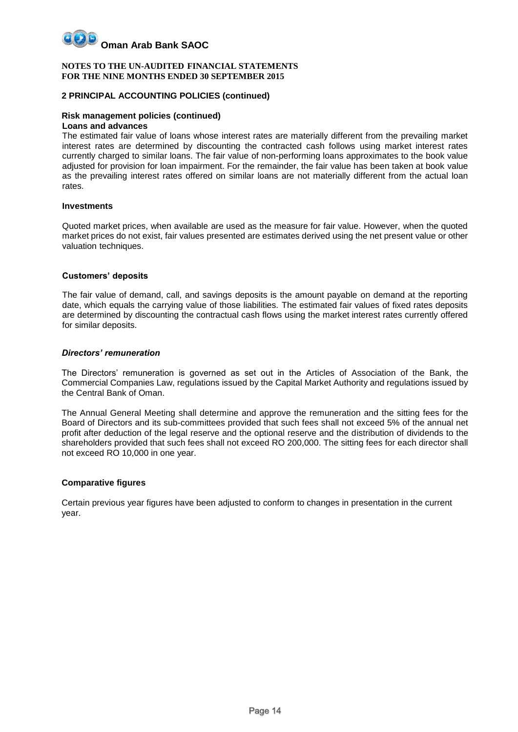

#### **2 PRINCIPAL ACCOUNTING POLICIES (continued)**

#### **Risk management policies (continued)**

#### **Loans and advances**

The estimated fair value of loans whose interest rates are materially different from the prevailing market interest rates are determined by discounting the contracted cash follows using market interest rates currently charged to similar loans. The fair value of non-performing loans approximates to the book value adjusted for provision for loan impairment. For the remainder, the fair value has been taken at book value as the prevailing interest rates offered on similar loans are not materially different from the actual loan rates.

#### **Investments**

Quoted market prices, when available are used as the measure for fair value. However, when the quoted market prices do not exist, fair values presented are estimates derived using the net present value or other valuation techniques.

#### **Customers' deposits**

The fair value of demand, call, and savings deposits is the amount payable on demand at the reporting date, which equals the carrying value of those liabilities. The estimated fair values of fixed rates deposits are determined by discounting the contractual cash flows using the market interest rates currently offered for similar deposits.

#### *Directors' remuneration*

The Directors' remuneration is governed as set out in the Articles of Association of the Bank, the Commercial Companies Law, regulations issued by the Capital Market Authority and regulations issued by the Central Bank of Oman.

The Annual General Meeting shall determine and approve the remuneration and the sitting fees for the Board of Directors and its sub-committees provided that such fees shall not exceed 5% of the annual net profit after deduction of the legal reserve and the optional reserve and the distribution of dividends to the shareholders provided that such fees shall not exceed RO 200,000. The sitting fees for each director shall not exceed RO 10,000 in one year.

#### **Comparative figures**

Certain previous year figures have been adjusted to conform to changes in presentation in the current year.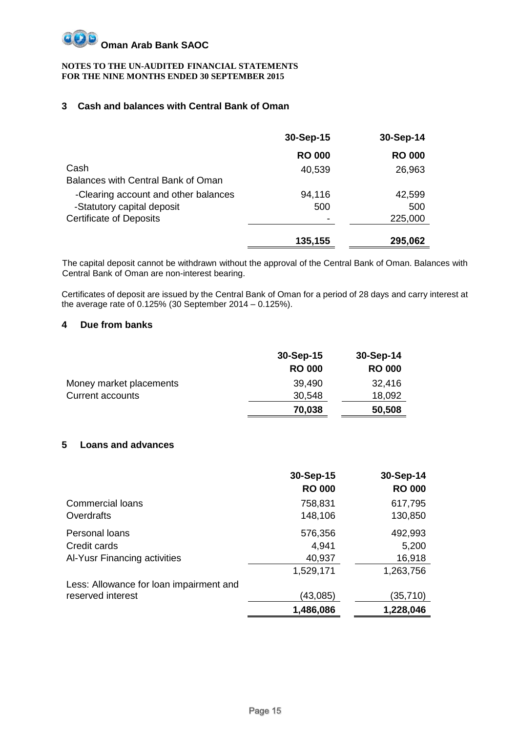

# **3 Cash and balances with Central Bank of Oman**

|                                      | 30-Sep-15     | 30-Sep-14     |
|--------------------------------------|---------------|---------------|
|                                      | <b>RO 000</b> | <b>RO 000</b> |
| Cash                                 | 40,539        | 26,963        |
| Balances with Central Bank of Oman   |               |               |
| -Clearing account and other balances | 94,116        | 42,599        |
| -Statutory capital deposit           | 500           | 500           |
| <b>Certificate of Deposits</b>       |               | 225,000       |
|                                      | 135,155       | 295,062       |

The capital deposit cannot be withdrawn without the approval of the Central Bank of Oman. Balances with Central Bank of Oman are non-interest bearing.

Certificates of deposit are issued by the Central Bank of Oman for a period of 28 days and carry interest at the average rate of 0.125% (30 September 2014 – 0.125%).

### **4 Due from banks**

|                         | 30-Sep-15     | 30-Sep-14     |
|-------------------------|---------------|---------------|
|                         | <b>RO 000</b> | <b>RO 000</b> |
| Money market placements | 39,490        | 32,416        |
| <b>Current accounts</b> | 30,548        | 18,092        |
|                         | 70,038        | 50,508        |

# **5 Loans and advances**

|                                         | 30-Sep-15     | 30-Sep-14     |
|-----------------------------------------|---------------|---------------|
|                                         | <b>RO 000</b> | <b>RO 000</b> |
| <b>Commercial loans</b>                 | 758,831       | 617,795       |
| Overdrafts                              | 148,106       | 130,850       |
| Personal loans                          | 576,356       | 492,993       |
| Credit cards                            | 4,941         | 5,200         |
| Al-Yusr Financing activities            | 40,937        | 16,918        |
|                                         | 1,529,171     | 1,263,756     |
| Less: Allowance for loan impairment and |               |               |
| reserved interest                       | (43,085)      | (35,710)      |
|                                         | 1,486,086     | 1,228,046     |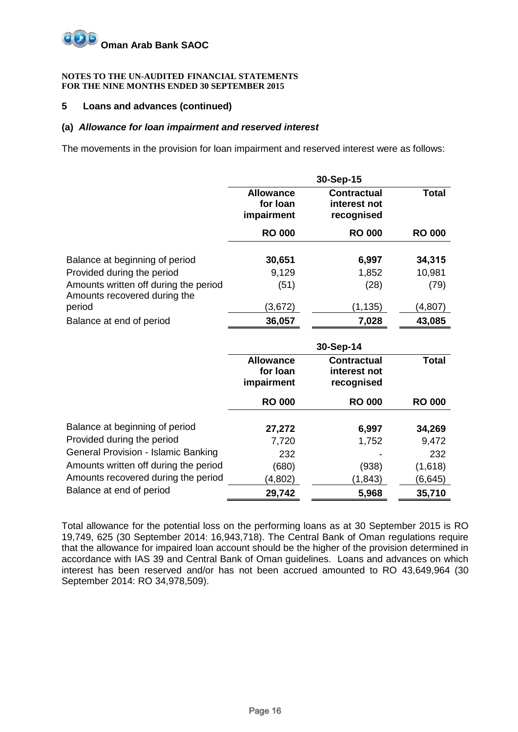#### **NOTES TO THE UN-AUDITED FINANCIAL STATEMENTS FOR THE NINE MONTHS ENDED 30 SEPTEMBER 2015**

## **5 Loans and advances (continued)**

### **(a)** *Allowance for loan impairment and reserved interest*

The movements in the provision for loan impairment and reserved interest were as follows:

|                                                                       | 30-Sep-15                                  |                                                  |               |  |
|-----------------------------------------------------------------------|--------------------------------------------|--------------------------------------------------|---------------|--|
|                                                                       | <b>Allowance</b><br>for loan<br>impairment | <b>Contractual</b><br>interest not<br>recognised | <b>Total</b>  |  |
|                                                                       | <b>RO 000</b>                              | <b>RO 000</b>                                    | <b>RO 000</b> |  |
|                                                                       |                                            |                                                  |               |  |
| Balance at beginning of period                                        | 30,651                                     | 6,997                                            | 34,315        |  |
| Provided during the period                                            | 9,129                                      | 1,852                                            | 10,981        |  |
| Amounts written off during the period<br>Amounts recovered during the | (51)                                       | (28)                                             | (79)          |  |
| period                                                                | (3,672)                                    | (1, 135)                                         | (4,807)       |  |
| Balance at end of period                                              | 36,057                                     | 7,028                                            | 43,085        |  |

|                                       |                                            | 30-Sep-14                                        |               |
|---------------------------------------|--------------------------------------------|--------------------------------------------------|---------------|
|                                       | <b>Allowance</b><br>for loan<br>impairment | <b>Contractual</b><br>interest not<br>recognised | <b>Total</b>  |
|                                       | <b>RO 000</b>                              | <b>RO 000</b>                                    | <b>RO 000</b> |
| Balance at beginning of period        | 27,272                                     | 6,997                                            | 34,269        |
| Provided during the period            | 7,720                                      | 1,752                                            | 9,472         |
| General Provision - Islamic Banking   | 232                                        |                                                  | 232           |
| Amounts written off during the period | (680)                                      | (938)                                            | (1,618)       |
| Amounts recovered during the period   | (4,802)                                    | (1, 843)                                         | (6,645)       |
| Balance at end of period              | 29,742                                     | 5,968                                            | 35,710        |

Total allowance for the potential loss on the performing loans as at 30 September 2015 is RO 19,749, 625 (30 September 2014: 16,943,718). The Central Bank of Oman regulations require that the allowance for impaired loan account should be the higher of the provision determined in accordance with IAS 39 and Central Bank of Oman guidelines. Loans and advances on which interest has been reserved and/or has not been accrued amounted to RO 43,649,964 (30 September 2014: RO 34,978,509).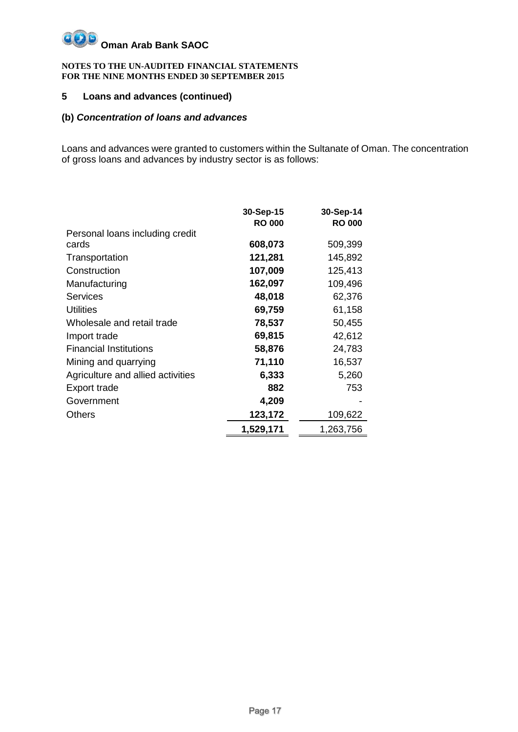#### **NOTES TO THE UN-AUDITED FINANCIAL STATEMENTS FOR THE NINE MONTHS ENDED 30 SEPTEMBER 2015**

# **5 Loans and advances (continued)**

# **(b)** *Concentration of loans and advances*

Loans and advances were granted to customers within the Sultanate of Oman. The concentration of gross loans and advances by industry sector is as follows:

|                                   | 30-Sep-15     | 30-Sep-14     |
|-----------------------------------|---------------|---------------|
|                                   | <b>RO 000</b> | <b>RO 000</b> |
| Personal loans including credit   |               |               |
| cards                             | 608,073       | 509,399       |
| Transportation                    | 121,281       | 145,892       |
| Construction                      | 107,009       | 125,413       |
| Manufacturing                     | 162,097       | 109,496       |
| <b>Services</b>                   | 48,018        | 62,376        |
| <b>Utilities</b>                  | 69,759        | 61,158        |
| Wholesale and retail trade        | 78,537        | 50,455        |
| Import trade                      | 69,815        | 42,612        |
| <b>Financial Institutions</b>     | 58,876        | 24,783        |
| Mining and quarrying              | 71,110        | 16,537        |
| Agriculture and allied activities | 6,333         | 5,260         |
| Export trade                      | 882           | 753           |
| Government                        | 4,209         |               |
| Others                            | 123,172       | 109,622       |
|                                   | 1,529,171     | 1,263,756     |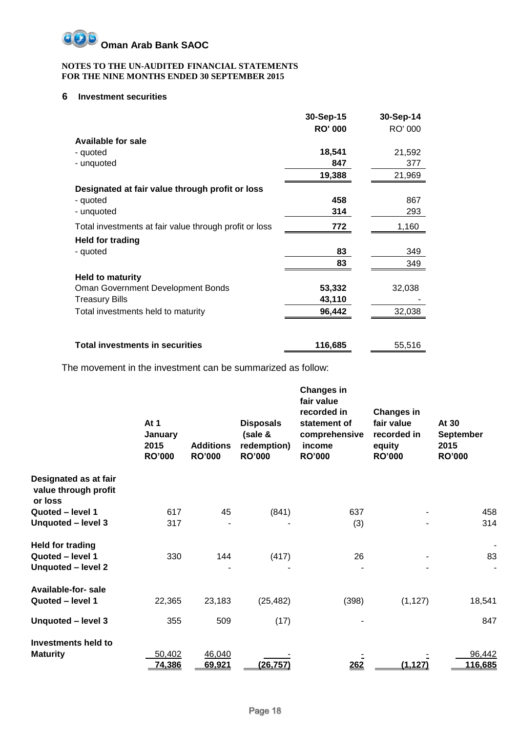

## **6 Investment securities**

|                                                        | 30-Sep-15      | 30-Sep-14 |
|--------------------------------------------------------|----------------|-----------|
|                                                        | <b>RO' 000</b> | RO' 000   |
| <b>Available for sale</b>                              |                |           |
| - quoted                                               | 18,541         | 21,592    |
| - unquoted                                             | 847            | 377       |
|                                                        | 19,388         | 21,969    |
| Designated at fair value through profit or loss        |                |           |
| - quoted                                               | 458            | 867       |
| - unquoted                                             | 314            | 293       |
| Total investments at fair value through profit or loss | 772            | 1,160     |
| <b>Held for trading</b>                                |                |           |
| - quoted                                               | 83             | 349       |
|                                                        | 83             | 349       |
| <b>Held to maturity</b>                                |                |           |
| Oman Government Development Bonds                      | 53,332         | 32,038    |
| Treasury Bills                                         | 43,110         |           |
| Total investments held to maturity                     | 96,442         | 32,038    |
|                                                        |                |           |
| <b>Total investments in securities</b>                 | 116,685        | 55,516    |

The movement in the investment can be summarized as follow:

|                                                          | At 1<br>January<br>2015<br><b>RO'000</b> | <b>Additions</b><br><b>RO'000</b> | <b>Disposals</b><br>(sale &<br>redemption)<br><b>RO'000</b> | <b>Changes in</b><br>fair value<br>recorded in<br>statement of<br>comprehensive<br>income<br><b>RO'000</b> | <b>Changes in</b><br>fair value<br>recorded in<br>equity<br><b>RO'000</b> | At 30<br><b>September</b><br>2015<br><b>RO'000</b> |
|----------------------------------------------------------|------------------------------------------|-----------------------------------|-------------------------------------------------------------|------------------------------------------------------------------------------------------------------------|---------------------------------------------------------------------------|----------------------------------------------------|
| Designated as at fair<br>value through profit<br>or loss |                                          |                                   |                                                             |                                                                                                            |                                                                           |                                                    |
| Quoted - level 1                                         | 617                                      | 45                                | (841)                                                       | 637                                                                                                        |                                                                           | 458                                                |
| Unquoted - level 3                                       | 317                                      |                                   |                                                             | (3)                                                                                                        |                                                                           | 314                                                |
| <b>Held for trading</b>                                  |                                          |                                   |                                                             |                                                                                                            |                                                                           |                                                    |
| Quoted - level 1                                         | 330                                      | 144                               | (417)                                                       | 26                                                                                                         |                                                                           | 83                                                 |
| Unquoted - level 2                                       |                                          |                                   |                                                             |                                                                                                            |                                                                           |                                                    |
| Available-for-sale                                       |                                          |                                   |                                                             |                                                                                                            |                                                                           |                                                    |
| Quoted - level 1                                         | 22,365                                   | 23,183                            | (25, 482)                                                   | (398)                                                                                                      | (1, 127)                                                                  | 18,541                                             |
| Unquoted - level 3                                       | 355                                      | 509                               | (17)                                                        |                                                                                                            |                                                                           | 847                                                |
| <b>Investments held to</b>                               |                                          |                                   |                                                             |                                                                                                            |                                                                           |                                                    |
| <b>Maturity</b>                                          | 50,402                                   | 46,040                            |                                                             |                                                                                                            |                                                                           | 96,442                                             |
|                                                          | 74,386                                   | 69,921                            | (26, 757)                                                   | 262                                                                                                        | (1, 127)                                                                  | 116,685                                            |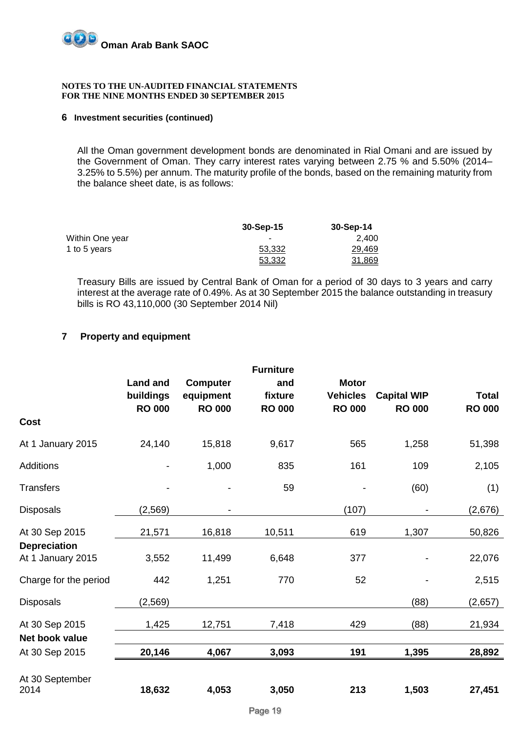

#### **6 Investment securities (continued)**

All the Oman government development bonds are denominated in Rial Omani and are issued by the Government of Oman. They carry interest rates varying between 2.75 % and 5.50% (2014– 3.25% to 5.5%) per annum. The maturity profile of the bonds, based on the remaining maturity from the balance sheet date, is as follows:

|                 | $30-Sep-15$ | $30-Sep-14$ |
|-----------------|-------------|-------------|
| Within One year | ۰           | 2.400       |
| 1 to 5 years    | 53,332      | 29,469      |
|                 | 53,332      | 31,869      |

Treasury Bills are issued by Central Bank of Oman for a period of 30 days to 3 years and carry interest at the average rate of 0.49%. As at 30 September 2015 the balance outstanding in treasury bills is RO 43,110,000 (30 September 2014 Nil)

## **7 Property and equipment**

|                                          | <b>Land and</b>            | <b>Computer</b>            | <b>Furniture</b><br>and  | <b>Motor</b>                     |                                     |                               |
|------------------------------------------|----------------------------|----------------------------|--------------------------|----------------------------------|-------------------------------------|-------------------------------|
|                                          | buildings<br><b>RO 000</b> | equipment<br><b>RO 000</b> | fixture<br><b>RO 000</b> | <b>Vehicles</b><br><b>RO 000</b> | <b>Capital WIP</b><br><b>RO 000</b> | <b>Total</b><br><b>RO 000</b> |
| <b>Cost</b>                              |                            |                            |                          |                                  |                                     |                               |
| At 1 January 2015                        | 24,140                     | 15,818                     | 9,617                    | 565                              | 1,258                               | 51,398                        |
| <b>Additions</b>                         | $\overline{a}$             | 1,000                      | 835                      | 161                              | 109                                 | 2,105                         |
| <b>Transfers</b>                         |                            |                            | 59                       |                                  | (60)                                | (1)                           |
| <b>Disposals</b>                         | (2, 569)                   |                            |                          | (107)                            |                                     | (2,676)                       |
| At 30 Sep 2015                           | 21,571                     | 16,818                     | 10,511                   | 619                              | 1,307                               | 50,826                        |
| <b>Depreciation</b><br>At 1 January 2015 | 3,552                      | 11,499                     | 6,648                    | 377                              |                                     | 22,076                        |
| Charge for the period                    | 442                        | 1,251                      | 770                      | 52                               |                                     | 2,515                         |
| <b>Disposals</b>                         | (2, 569)                   |                            |                          |                                  | (88)                                | (2,657)                       |
| At 30 Sep 2015                           | 1,425                      | 12,751                     | 7,418                    | 429                              | (88)                                | 21,934                        |
| Net book value                           |                            |                            |                          |                                  |                                     |                               |
| At 30 Sep 2015                           | 20,146                     | 4,067                      | 3,093                    | 191                              | 1,395                               | 28,892                        |
| At 30 September<br>2014                  | 18,632                     | 4,053                      | 3,050                    | 213                              | 1,503                               | 27,451                        |
|                                          |                            |                            |                          |                                  |                                     |                               |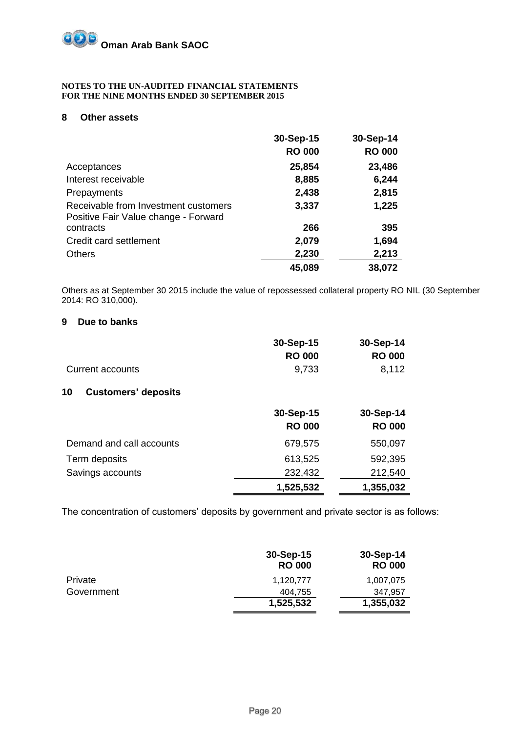## **8 Other assets**

|                                                                              | 30-Sep-15     | 30-Sep-14     |
|------------------------------------------------------------------------------|---------------|---------------|
|                                                                              | <b>RO 000</b> | <b>RO 000</b> |
| Acceptances                                                                  | 25,854        | 23,486        |
| Interest receivable                                                          | 8,885         | 6,244         |
| Prepayments                                                                  | 2,438         | 2,815         |
| Receivable from Investment customers<br>Positive Fair Value change - Forward | 3,337         | 1,225         |
| contracts                                                                    | 266           | 395           |
| Credit card settlement                                                       | 2,079         | 1,694         |
| <b>Others</b>                                                                | 2,230         | 2,213         |
|                                                                              | 45,089        | 38,072        |

Others as at September 30 2015 include the value of repossessed collateral property RO NIL (30 September 2014: RO 310,000).

### **9 Due to banks**

|                                  | 30-Sep-15     | 30-Sep-14     |
|----------------------------------|---------------|---------------|
|                                  | <b>RO 000</b> | <b>RO 000</b> |
| Current accounts                 | 9,733         | 8,112         |
| 10<br><b>Customers' deposits</b> |               |               |
|                                  | 30-Sep-15     | 30-Sep-14     |
|                                  | <b>RO 000</b> | <b>RO 000</b> |
| Demand and call accounts         | 679,575       | 550,097       |
| Term deposits                    | 613,525       | 592,395       |
| Savings accounts                 | 232,432       | 212,540       |
|                                  | 1,525,532     | 1,355,032     |

The concentration of customers' deposits by government and private sector is as follows:

|                | 30-Sep-15<br><b>RO 000</b> | 30-Sep-14<br><b>RO 000</b> |
|----------------|----------------------------|----------------------------|
| <b>Private</b> | 1.120.777                  | 1,007,075                  |
| Government     | 404.755                    | 347.957                    |
|                | 1,525,532                  | 1,355,032                  |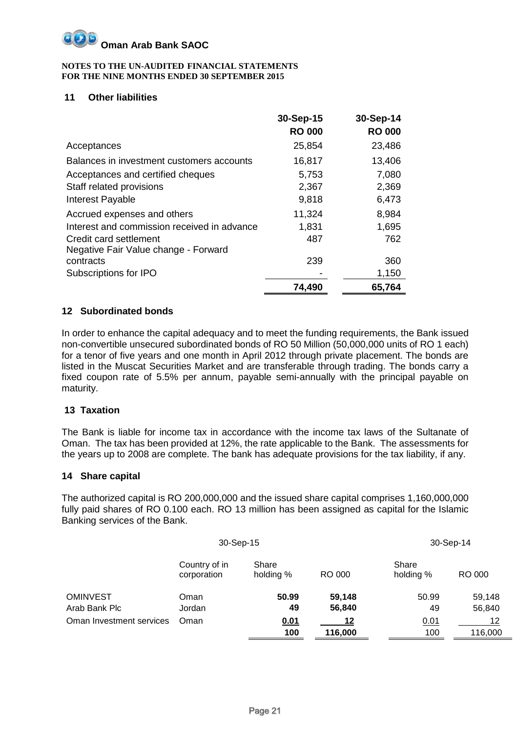#### **NOTES TO THE UN-AUDITED FINANCIAL STATEMENTS FOR THE NINE MONTHS ENDED 30 SEPTEMBER 2015**

# **11 Other liabilities**

|                                             | 30-Sep-15     | 30-Sep-14     |
|---------------------------------------------|---------------|---------------|
|                                             | <b>RO 000</b> | <b>RO 000</b> |
| Acceptances                                 | 25,854        | 23,486        |
| Balances in investment customers accounts   | 16,817        | 13,406        |
| Acceptances and certified cheques           | 5,753         | 7,080         |
| Staff related provisions                    | 2,367         | 2,369         |
| Interest Payable                            | 9,818         | 6,473         |
| Accrued expenses and others                 | 11,324        | 8,984         |
| Interest and commission received in advance | 1,831         | 1,695         |
| Credit card settlement                      | 487           | 762           |
| Negative Fair Value change - Forward        |               |               |
| contracts                                   | 239           | 360           |
| Subscriptions for IPO                       |               | 1,150         |
|                                             | 74,490        | 65,764        |

# **12 Subordinated bonds**

In order to enhance the capital adequacy and to meet the funding requirements, the Bank issued non-convertible unsecured subordinated bonds of RO 50 Million (50,000,000 units of RO 1 each) for a tenor of five years and one month in April 2012 through private placement. The bonds are listed in the Muscat Securities Market and are transferable through trading. The bonds carry a fixed coupon rate of 5.5% per annum, payable semi-annually with the principal payable on maturity.

# **13 Taxation**

The Bank is liable for income tax in accordance with the income tax laws of the Sultanate of Oman. The tax has been provided at 12%, the rate applicable to the Bank. The assessments for the years up to 2008 are complete. The bank has adequate provisions for the tax liability, if any.

# **14 Share capital**

The authorized capital is RO 200,000,000 and the issued share capital comprises 1,160,000,000 fully paid shares of RO 0.100 each. RO 13 million has been assigned as capital for the Islamic Banking services of the Bank.

| 30-Sep-15                |                              |                    |         | 30-Sep-14          |         |
|--------------------------|------------------------------|--------------------|---------|--------------------|---------|
|                          | Country of in<br>corporation | Share<br>holding % | RO 000  | Share<br>holding % | RO 000  |
| <b>OMINVEST</b>          | Oman                         | 50.99              | 59,148  | 50.99              | 59,148  |
| Arab Bank Plc            | Jordan                       | 49                 | 56,840  | 49                 | 56,840  |
| Oman Investment services | Oman                         | <u>0.01</u>        | 12      | 0.01               | 12      |
|                          |                              | 100                | 116,000 | 100                | 116,000 |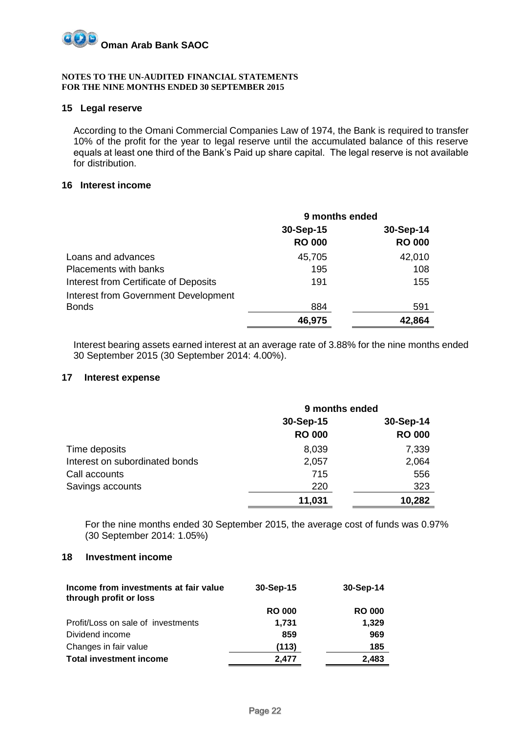

### **15 Legal reserve**

According to the Omani Commercial Companies Law of 1974, the Bank is required to transfer 10% of the profit for the year to legal reserve until the accumulated balance of this reserve equals at least one third of the Bank's Paid up share capital. The legal reserve is not available for distribution.

### **16 Interest income**

|                                             | 9 months ended |               |
|---------------------------------------------|----------------|---------------|
|                                             | 30-Sep-15      | 30-Sep-14     |
|                                             | <b>RO 000</b>  | <b>RO 000</b> |
| Loans and advances                          | 45,705         | 42,010        |
| <b>Placements with banks</b>                | 195            | 108           |
| Interest from Certificate of Deposits       | 191            | 155           |
| <b>Interest from Government Development</b> |                |               |
| <b>Bonds</b>                                | 884            | 591           |
|                                             | 46,975         | 42,864        |

Interest bearing assets earned interest at an average rate of 3.88% for the nine months ended 30 September 2015 (30 September 2014: 4.00%).

## **17 Interest expense**

|                                | 9 months ended |               |
|--------------------------------|----------------|---------------|
|                                | 30-Sep-15      | 30-Sep-14     |
|                                | <b>RO 000</b>  | <b>RO 000</b> |
| Time deposits                  | 8,039          | 7,339         |
| Interest on subordinated bonds | 2,057          | 2,064         |
| Call accounts                  | 715            | 556           |
| Savings accounts               | 220            | 323           |
|                                | 11,031         | 10,282        |

For the nine months ended 30 September 2015, the average cost of funds was 0.97% (30 September 2014: 1.05%)

## **18 Investment income**

| Income from investments at fair value<br>through profit or loss | 30-Sep-15     | 30-Sep-14     |
|-----------------------------------------------------------------|---------------|---------------|
|                                                                 | <b>RO 000</b> | <b>RO 000</b> |
| Profit/Loss on sale of investments                              | 1.731         | 1,329         |
| Dividend income                                                 | 859           | 969           |
| Changes in fair value                                           | (113)         | 185           |
| <b>Total investment income</b>                                  | 2.477         | 2.483         |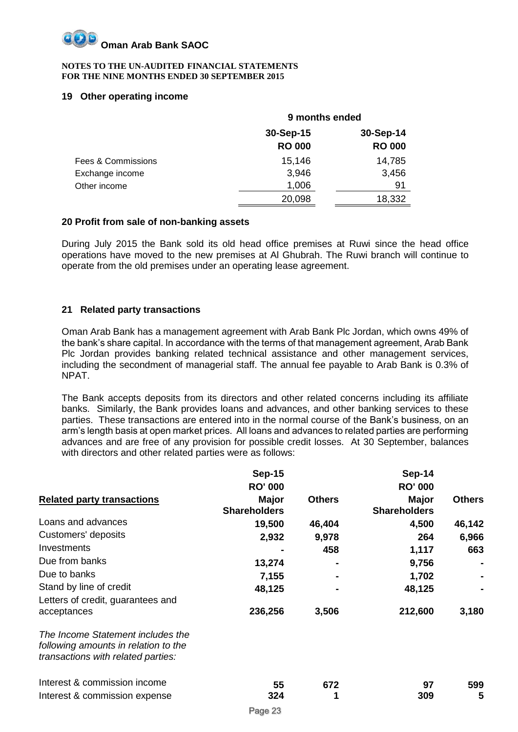#### **NOTES TO THE UN-AUDITED FINANCIAL STATEMENTS FOR THE NINE MONTHS ENDED 30 SEPTEMBER 2015**

# **19 Other operating income**

|                    | 9 months ended |               |  |
|--------------------|----------------|---------------|--|
|                    | 30-Sep-15      | 30-Sep-14     |  |
|                    | <b>RO 000</b>  | <b>RO 000</b> |  |
| Fees & Commissions | 15,146         | 14,785        |  |
| Exchange income    | 3,946          | 3,456         |  |
| Other income       | 1,006          | 91            |  |
|                    | 20,098         | 18,332        |  |

# **20 Profit from sale of non-banking assets**

During July 2015 the Bank sold its old head office premises at Ruwi since the head office operations have moved to the new premises at Al Ghubrah. The Ruwi branch will continue to operate from the old premises under an operating lease agreement.

# **21 Related party transactions**

Oman Arab Bank has a management agreement with Arab Bank Plc Jordan, which owns 49% of the bank's share capital. In accordance with the terms of that management agreement, Arab Bank Plc Jordan provides banking related technical assistance and other management services, including the secondment of managerial staff. The annual fee payable to Arab Bank is 0.3% of NPAT.

The Bank accepts deposits from its directors and other related concerns including its affiliate banks. Similarly, the Bank provides loans and advances, and other banking services to these parties. These transactions are entered into in the normal course of the Bank's business, on an arm's length basis at open market prices. All loans and advances to related parties are performing advances and are free of any provision for possible credit losses. At 30 September, balances with directors and other related parties were as follows:

|                                                                                                                 | <b>Sep-15</b>                |               | Sep-14                              |               |
|-----------------------------------------------------------------------------------------------------------------|------------------------------|---------------|-------------------------------------|---------------|
|                                                                                                                 | <b>RO' 000</b>               |               | <b>RO' 000</b>                      |               |
| <b>Related party transactions</b>                                                                               | Major<br><b>Shareholders</b> | <b>Others</b> | <b>Major</b><br><b>Shareholders</b> | <b>Others</b> |
| Loans and advances                                                                                              | 19,500                       | 46,404        | 4,500                               | 46,142        |
| Customers' deposits                                                                                             | 2,932                        | 9,978         | 264                                 | 6,966         |
| Investments                                                                                                     |                              | 458           | 1,117                               | 663           |
| Due from banks                                                                                                  | 13,274                       |               | 9,756                               |               |
| Due to banks                                                                                                    | 7,155                        |               | 1,702                               |               |
| Stand by line of credit<br>Letters of credit, guarantees and                                                    | 48,125                       |               | 48,125                              |               |
| acceptances                                                                                                     | 236,256                      | 3,506         | 212,600                             | 3,180         |
| The Income Statement includes the<br>following amounts in relation to the<br>transactions with related parties: |                              |               |                                     |               |
| Interest & commission income                                                                                    | 55                           | 672           | 97                                  | 599           |
| Interest & commission expense                                                                                   | 324                          |               | 309                                 | 5             |
|                                                                                                                 | Page 23                      |               |                                     |               |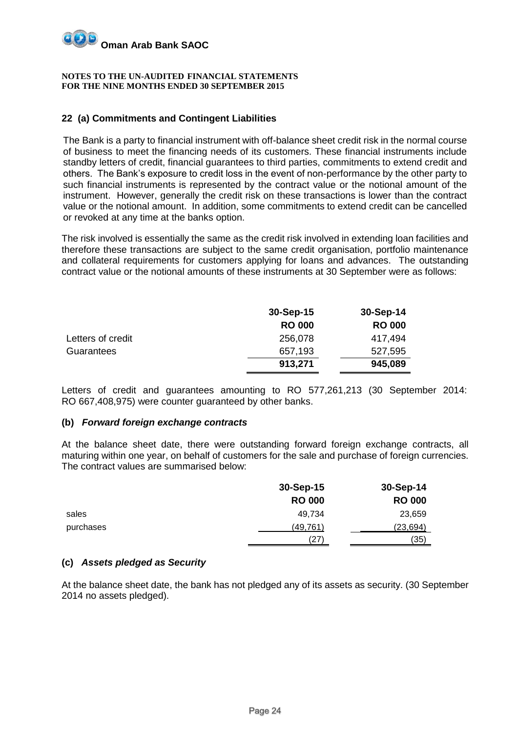

# **22 (a) Commitments and Contingent Liabilities**

The Bank is a party to financial instrument with off-balance sheet credit risk in the normal course of business to meet the financing needs of its customers. These financial instruments include standby letters of credit, financial guarantees to third parties, commitments to extend credit and others. The Bank's exposure to credit loss in the event of non-performance by the other party to such financial instruments is represented by the contract value or the notional amount of the instrument. However, generally the credit risk on these transactions is lower than the contract value or the notional amount. In addition, some commitments to extend credit can be cancelled or revoked at any time at the banks option.

The risk involved is essentially the same as the credit risk involved in extending loan facilities and therefore these transactions are subject to the same credit organisation, portfolio maintenance and collateral requirements for customers applying for loans and advances. The outstanding contract value or the notional amounts of these instruments at 30 September were as follows:

|                   | 30-Sep-15     | 30-Sep-14     |
|-------------------|---------------|---------------|
|                   | <b>RO 000</b> | <b>RO 000</b> |
| Letters of credit | 256,078       | 417,494       |
| Guarantees        | 657,193       | 527,595       |
|                   | 913,271       | 945,089       |

Letters of credit and guarantees amounting to RO 577,261,213 (30 September 2014: RO 667,408,975) were counter guaranteed by other banks.

# **(b)** *Forward foreign exchange contracts*

At the balance sheet date, there were outstanding forward foreign exchange contracts, all maturing within one year, on behalf of customers for the sale and purchase of foreign currencies. The contract values are summarised below:

|           | 30-Sep-15     | 30-Sep-14     |
|-----------|---------------|---------------|
|           | <b>RO 000</b> | <b>RO 000</b> |
| sales     | 49.734        | 23,659        |
| purchases | (49, 761)     | (23, 694)     |
|           | (27)          | (35)          |

# **(c)** *Assets pledged as Security*

At the balance sheet date, the bank has not pledged any of its assets as security. (30 September 2014 no assets pledged).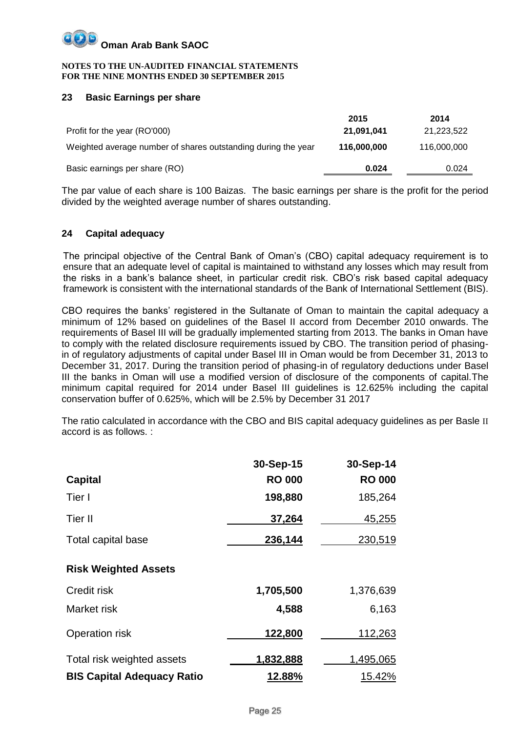#### **NOTES TO THE UN-AUDITED FINANCIAL STATEMENTS FOR THE NINE MONTHS ENDED 30 SEPTEMBER 2015**

# **23 Basic Earnings per share**

|                                                               | 2015        | 2014        |
|---------------------------------------------------------------|-------------|-------------|
| Profit for the year (RO'000)                                  | 21,091,041  | 21,223,522  |
| Weighted average number of shares outstanding during the year | 116,000,000 | 116,000,000 |
| Basic earnings per share (RO)                                 | 0.024       | 0.024       |

The par value of each share is 100 Baizas. The basic earnings per share is the profit for the period divided by the weighted average number of shares outstanding.

# **24 Capital adequacy**

The principal objective of the Central Bank of Oman's (CBO) capital adequacy requirement is to ensure that an adequate level of capital is maintained to withstand any losses which may result from the risks in a bank's balance sheet, in particular credit risk. CBO's risk based capital adequacy framework is consistent with the international standards of the Bank of International Settlement (BIS).

CBO requires the banks' registered in the Sultanate of Oman to maintain the capital adequacy a minimum of 12% based on guidelines of the Basel II accord from December 2010 onwards. The requirements of Basel III will be gradually implemented starting from 2013. The banks in Oman have to comply with the related disclosure requirements issued by CBO. The transition period of phasingin of regulatory adjustments of capital under Basel III in Oman would be from December 31, 2013 to December 31, 2017. During the transition period of phasing-in of regulatory deductions under Basel III the banks in Oman will use a modified version of disclosure of the components of capital.The minimum capital required for 2014 under Basel III guidelines is 12.625% including the capital conservation buffer of 0.625%, which will be 2.5% by December 31 2017

The ratio calculated in accordance with the CBO and BIS capital adequacy guidelines as per Basle II accord is as follows. :

|                                   | 30-Sep-15     | 30-Sep-14     |
|-----------------------------------|---------------|---------------|
| <b>Capital</b>                    | <b>RO 000</b> | <b>RO 000</b> |
| Tier I                            | 198,880       | 185,264       |
| Tier II                           | 37,264        | 45,255        |
| Total capital base                | 236,144       | 230,519       |
| <b>Risk Weighted Assets</b>       |               |               |
| Credit risk                       | 1,705,500     | 1,376,639     |
| Market risk                       | 4,588         | 6,163         |
| Operation risk                    | 122,800       | 112,263       |
| Total risk weighted assets        | 1,832,888     | 1,495,065     |
| <b>BIS Capital Adequacy Ratio</b> | 12.88%        | 15.42%        |